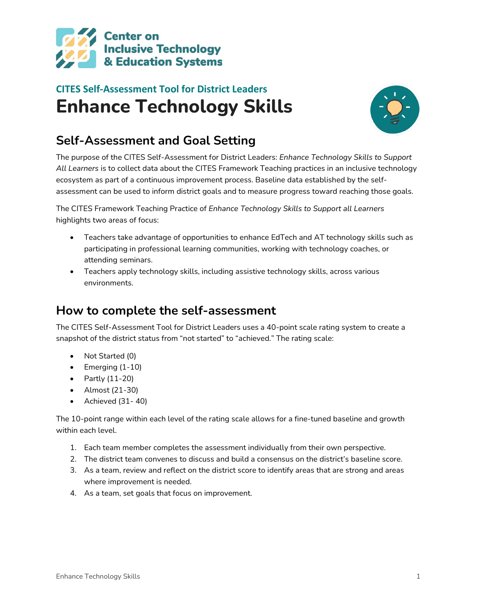

# **CITES Self-Assessment Tool for District Leaders Enhance Technology Skills**



## **Self-Assessment and Goal Setting**

The purpose of the CITES Self-Assessment for District Leaders: *Enhance Technology Skills to Support All Learners* is to collect data about the CITES Framework Teaching practices in an inclusive technology ecosystem as part of a continuous improvement process. Baseline data established by the selfassessment can be used to inform district goals and to measure progress toward reaching those goals.

The CITES Framework Teaching Practice of *Enhance Technology Skills to Support all Learners* highlights two areas of focus:

- Teachers take advantage of opportunities to enhance EdTech and AT technology skills such as participating in professional learning communities, working with technology coaches, or attending seminars.
- Teachers apply technology skills, including assistive technology skills, across various environments.

### **How to complete the self-assessment**

The CITES Self-Assessment Tool for District Leaders uses a 40-point scale rating system to create a snapshot of the district status from "not started" to "achieved." The rating scale:

- Not Started (0)
- Emerging (1-10)
- Partly (11-20)
- Almost (21-30)
- Achieved (31- 40)

The 10-point range within each level of the rating scale allows for a fine-tuned baseline and growth within each level.

- 1. Each team member completes the assessment individually from their own perspective.
- 2. The district team convenes to discuss and build a consensus on the district's baseline score.
- 3. As a team, review and reflect on the district score to identify areas that are strong and areas where improvement is needed.
- 4. As a team, set goals that focus on improvement.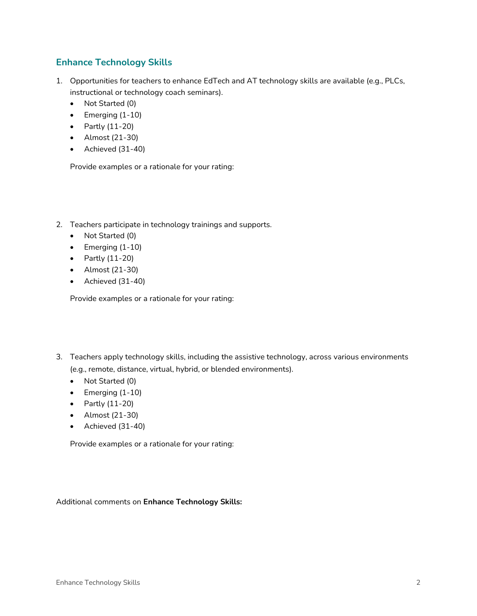#### **Enhance Technology Skills**

- 1. Opportunities for teachers to enhance EdTech and AT technology skills are available (e.g., PLCs, instructional or technology coach seminars).
	- Not Started (0)
	- Emerging (1-10)
	- Partly (11-20)
	- Almost (21-30)
	- Achieved (31-40)

Provide examples or a rationale for your rating:

- 2. Teachers participate in technology trainings and supports.
	- Not Started (0)
	- Emerging (1-10)
	- Partly (11-20)
	- Almost (21-30)
	- Achieved (31-40)

Provide examples or a rationale for your rating:

- 3. Teachers apply technology skills, including the assistive technology, across various environments (e.g., remote, distance, virtual, hybrid, or blended environments).
	- Not Started (0)
	- Emerging (1-10)
	- Partly (11-20)
	- Almost (21-30)
	- Achieved (31-40)

Provide examples or a rationale for your rating:

#### Additional comments on **Enhance Technology Skills:**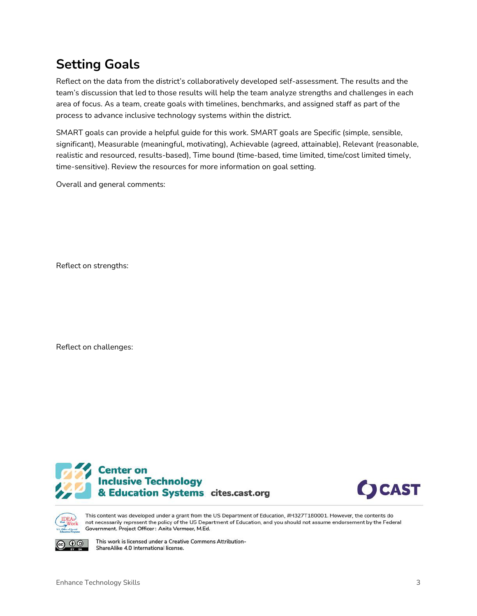## **Setting Goals**

Reflect on the data from the district's collaboratively developed self-assessment. The results and the team's discussion that led to those results will help the team analyze strengths and challenges in each area of focus. As a team, create goals with timelines, benchmarks, and assigned staff as part of the process to advance inclusive technology systems within the district.

SMART goals can provide a helpful guide for this work. SMART goals are Specific (simple, sensible, significant), Measurable (meaningful, motivating), Achievable (agreed, attainable), Relevant (reasonable, realistic and resourced, results-based), Time bound (time-based, time limited, time/cost limited timely, time-sensitive). Review the resources for more information on goal setting.

Overall and general comments:

Reflect on strengths:

Reflect on challenges:







 $\mathbf{0} \mathbf{0}$ 

This content was developed under a grant from the US Department of Education, #H327T180001. However, the contents do not necessarily represent the policy of the US Department of Education, and you should not assume endorsement by the Federal Government. Project Officer: Anita Vermeer, M.Ed.

This work is licensed under a Creative Commons Attribution-ShareAlike 4.0 International license.